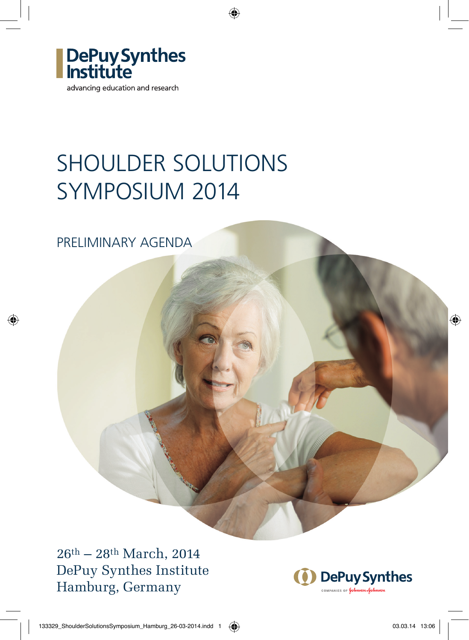

# SHOULDER SOLUTIONS SYMPOSIUM 2014

◈

PRELIMINARY AGENDA

⊕

26th – 28th March, 2014 DePuy Synthes Institute Hamburg, Germany



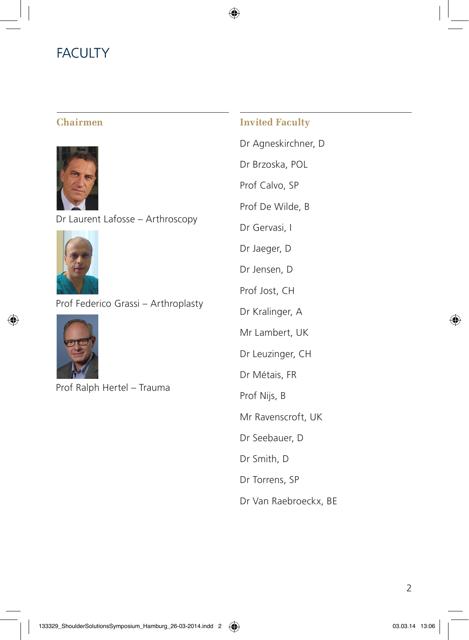### **FACULTY**

#### **Chairmen**



Dr Laurent Lafosse – Arthroscopy



Prof Federico Grassi – Arthroplasty



⊕

Prof Ralph Hertel – Trauma

#### **Invited Faculty**

⊕

Dr Agneskirchner, D Dr Brzoska, POL Prof Calvo, SP Prof De Wilde, B Dr Gervasi, I Dr Jaeger, D Dr Jensen, D Prof Jost, CH Dr Kralinger, A Mr Lambert, UK Dr Leuzinger, CH Dr Métais, FR Prof Nijs, B Mr Ravenscroft, UK Dr Seebauer, D Dr Smith, D

Dr Torrens, SP

Dr Van Raebroeckx, BE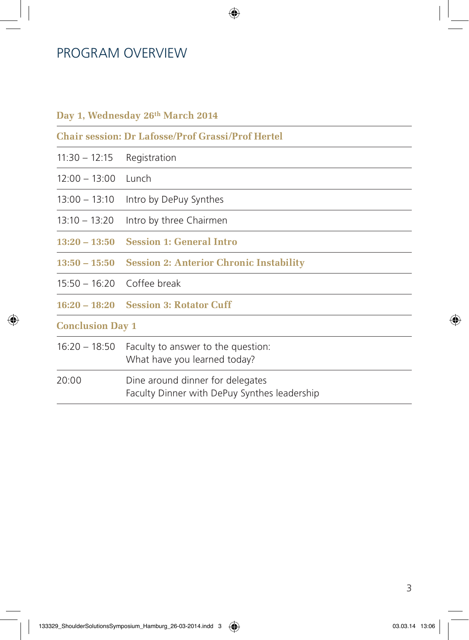#### PROGRAM OVERVIEW

#### **Day 1, Wednesday 26th March 2014**

**Chair session: Dr Lafosse/Prof Grassi/Prof Hertel**

⊕

- 11:30 12:15 Registration
- 12:00 13:00 Lunch
- 13:00 13:10 Intro by DePuy Synthes
- 13:10 13:20 Intro by three Chairmen
- **13:20 13:50 Session 1: General Intro**
- **13:50 15:50 Session 2: Anterior Chronic Instability**
- 15:50 16:20 Coffee break
- **16:20 18:20 Session 3: Rotator Cuff**

#### **Conclusion Day 1**

16:20 – 18:50 Faculty to answer to the question: What have you learned today?

20:00 Dine around dinner for delegates Faculty Dinner with DePuy Synthes leadership

#### 3

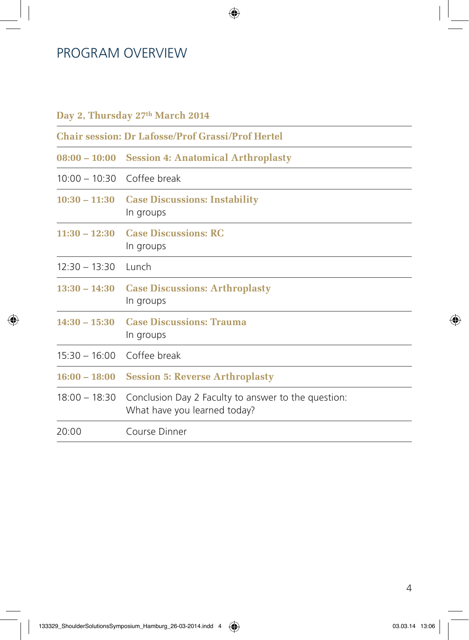### PROGRAM OVERVIEW

◈

| Day 2, Thursday 27th March 2014                          |                                                                                     |  |  |  |
|----------------------------------------------------------|-------------------------------------------------------------------------------------|--|--|--|
| <b>Chair session: Dr Lafosse/Prof Grassi/Prof Hertel</b> |                                                                                     |  |  |  |
|                                                          | 08:00 – 10:00 Session 4: Anatomical Arthroplasty                                    |  |  |  |
| 10:00 - 10:30 Coffee break                               |                                                                                     |  |  |  |
| $10:30 - 11:30$                                          | <b>Case Discussions: Instability</b><br>In groups                                   |  |  |  |
| $11:30 - 12:30$                                          | <b>Case Discussions: RC</b><br>In groups                                            |  |  |  |
| $12:30 - 13:30$                                          | Lunch                                                                               |  |  |  |
| $13:30 - 14:30$                                          | <b>Case Discussions: Arthroplasty</b><br>In groups                                  |  |  |  |
| $14:30 - 15:30$                                          | <b>Case Discussions: Trauma</b><br>In groups                                        |  |  |  |
| 15:30 - 16:00 Coffee break                               |                                                                                     |  |  |  |
| $16:00 - 18:00$                                          | <b>Session 5: Reverse Arthroplasty</b>                                              |  |  |  |
| $18:00 - 18:30$                                          | Conclusion Day 2 Faculty to answer to the question:<br>What have you learned today? |  |  |  |
| 20:00                                                    | Course Dinner                                                                       |  |  |  |

 $\bigoplus$ 

4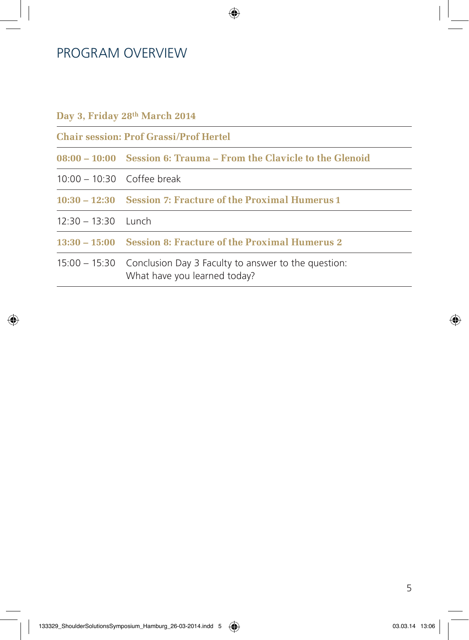### PROGRAM OVERVIEW

#### **Day 3, Friday 28th March 2014**

**Chair session: Prof Grassi/Prof Hertel**

**08:00 – 10:00 Session 6: Trauma – From the Clavicle to the Glenoid** 

◈

- 10:00 10:30 Coffee break
- **10:30 12:30 Session 7: Fracture of the Proximal Humerus 1**
- 12:30 13:30 Lunch

⊕

**13:30 – 15:00 Session 8: Fracture of the Proximal Humerus 2**

15:00 – 15:30 Conclusion Day 3 Faculty to answer to the question: What have you learned today?



◈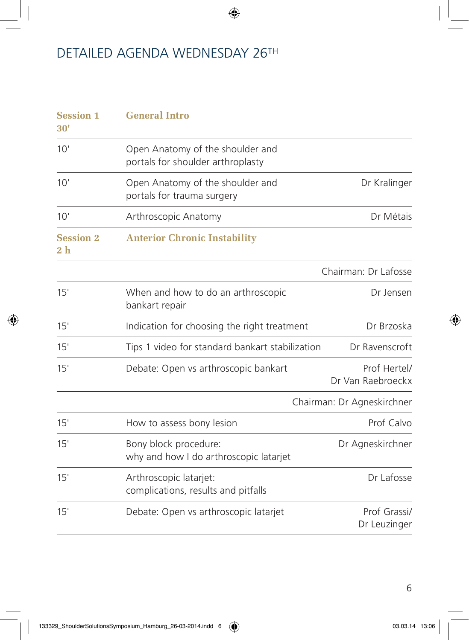$\bigoplus$ 

# DETAILED AGENDA WEDNESDAY 26TH

| <b>Session 1</b><br>30'            | <b>General Intro</b>                                                  |                                   |
|------------------------------------|-----------------------------------------------------------------------|-----------------------------------|
| 10'                                | Open Anatomy of the shoulder and<br>portals for shoulder arthroplasty |                                   |
| 10'                                | Open Anatomy of the shoulder and<br>portals for trauma surgery        | Dr Kralinger                      |
| 10'                                | Arthroscopic Anatomy                                                  | Dr Métais                         |
| <b>Session 2</b><br>2 <sub>h</sub> | <b>Anterior Chronic Instability</b>                                   |                                   |
|                                    |                                                                       | Chairman: Dr Lafosse              |
| 15'                                | When and how to do an arthroscopic<br>bankart repair                  | Dr Jensen                         |
| 15'                                | Indication for choosing the right treatment                           | Dr Brzoska                        |
| 15'                                | Tips 1 video for standard bankart stabilization                       | Dr Ravenscroft                    |
| 15'                                | Debate: Open vs arthroscopic bankart                                  | Prof Hertel/<br>Dr Van Raebroeckx |
|                                    |                                                                       | Chairman: Dr Agneskirchner        |
| 15'                                | How to assess bony lesion                                             | Prof Calvo                        |
| 15'                                | Bony block procedure:<br>why and how I do arthroscopic latarjet       | Dr Agneskirchner                  |
| 15'                                | Arthroscopic latarjet:<br>complications, results and pitfalls         | Dr Lafosse                        |
| 15'                                | Debate: Open vs arthroscopic latarjet                                 | Prof Grassi/<br>Dr Leuzinger      |

 $\bigoplus$ 

◈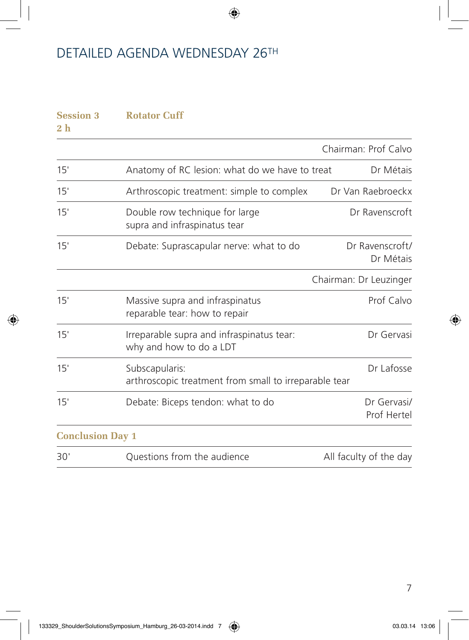⊕

### DETAILED AGENDA WEDNESDAY 26TH

# **Session 3 Rotator Cuff 2 h** Chairman: Prof Calvo 15' Anatomy of RC lesion: what do we have to treat Dr Métais 15' Arthroscopic treatment: simple to complex Dr Van Raebroeckx 15' Double row technique for large Dr Ravenscroft supra and infraspinatus tear 15' Debate: Suprascapular nerve: what to do Dr Ravenscroft/ Dr Métais Chairman: Dr Leuzinger 15' Massive supra and infraspinatus **Prof Calvo** reparable tear: how to repair 15' Irreparable supra and infraspinatus tear: Dr Gervasi why and how to do a LDT 15' Subscapularis: Dr Lafosse arthroscopic treatment from small to irreparable tear 15' Debate: Biceps tendon: what to do Dr Gervasi/ Prof Hertel **Conclusion Day 1** 30' Questions from the audience All faculty of the day

7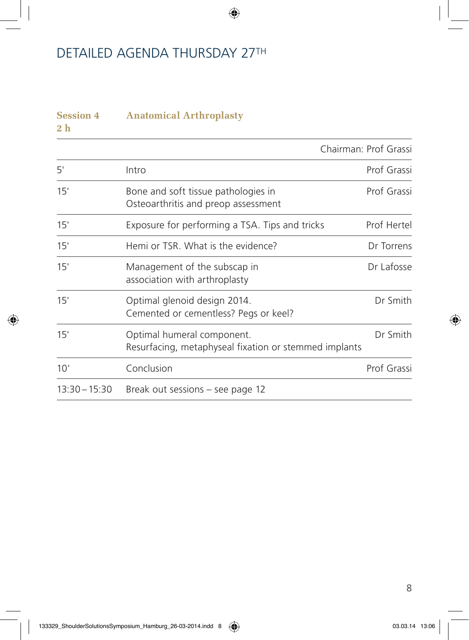### DETAILED AGENDA THURSDAY 27TH

| <b>Session 4</b><br>2 <sub>h</sub> | <b>Anatomical Arthroplasty</b>                                                      |             |  |
|------------------------------------|-------------------------------------------------------------------------------------|-------------|--|
|                                    | Chairman: Prof Grassi                                                               |             |  |
| 5'                                 | Intro                                                                               | Prof Grassi |  |
| 15'                                | Bone and soft tissue pathologies in<br>Osteoarthritis and preop assessment          | Prof Grassi |  |
| 15'                                | Exposure for performing a TSA. Tips and tricks                                      | Prof Hertel |  |
| 15'                                | Hemi or TSR. What is the evidence?                                                  | Dr Torrens  |  |
| 15'                                | Management of the subscap in<br>association with arthroplasty                       | Dr Lafosse  |  |
| 15'                                | Optimal glenoid design 2014.<br>Cemented or cementless? Pegs or keel?               | Dr Smith    |  |
| 15'                                | Optimal humeral component.<br>Resurfacing, metaphyseal fixation or stemmed implants | Dr Smith    |  |
| 10'                                | Conclusion                                                                          | Prof Grassi |  |
| $13:30 - 15:30$                    | Break out sessions – see page 12                                                    |             |  |

 $\bigoplus$ 

⊕

◈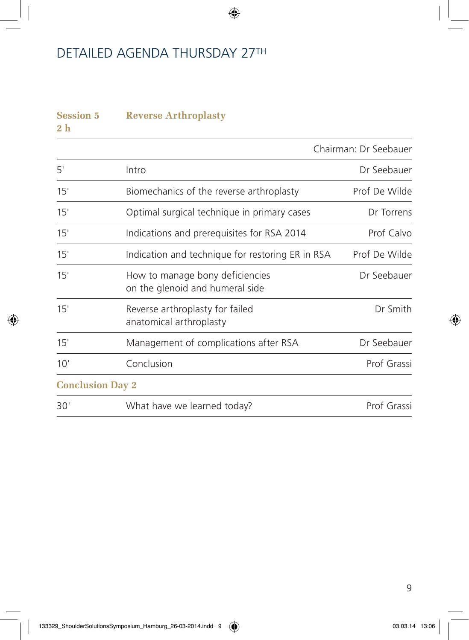### DETAILED AGENDA THURSDAY 27TH

# **Session 5 Reverse Arthroplasty 2 h** Chairman: Dr Seebauer 5' Intro Dr Seebauer 15' Biomechanics of the reverse arthroplasty Prof De Wilde 15' Optimal surgical technique in primary cases Dr Torrens 15' Indications and prerequisites for RSA 2014 Prof Calvo 15' Indication and technique for restoring ER in RSA Prof De Wilde 15' How to manage bony deficiencies Dr Seebauer on the glenoid and humeral side 15' Reverse arthroplasty for failed Dr Smith anatomical arthroplasty 15' Management of complications after RSA Dr Seebauer 10' Conclusion Conclusion Context Conclusion Context Conclusion Context Context Conclusion Concerns Concerns Concerns Concerns Concerns Concerns Concerns Concerns Concerns Concerns Concerns Concerns Concerns Concerns Conce **Conclusion Day 2** 30' What have we learned today? Prof Grassi

↔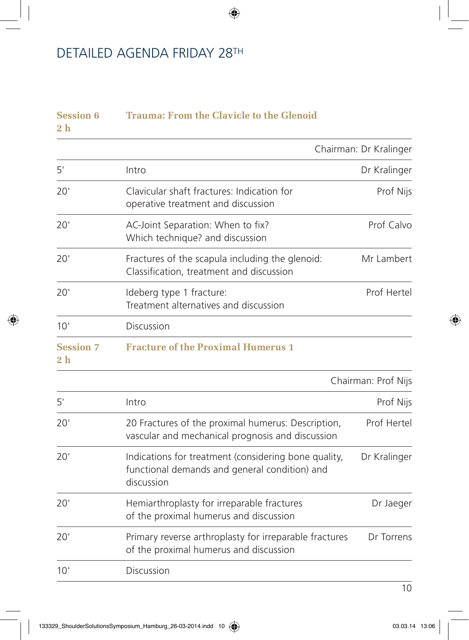# DETAILED AGENDA FRIDAY 28TH

| <b>Session 6</b><br>2 h            | Trauma: From the Clavicle to the Glenoid                                                                            |                        |
|------------------------------------|---------------------------------------------------------------------------------------------------------------------|------------------------|
|                                    |                                                                                                                     | Chairman: Dr Kralinger |
| 5'                                 | Intro                                                                                                               | Dr Kralinger           |
| 20'                                | Clavicular shaft fractures: Indication for<br>operative treatment and discussion                                    | Prof Nijs              |
| 20'                                | AC-Joint Separation: When to fix?<br>Which technique? and discussion                                                | Prof Calvo             |
| 20'                                | Fractures of the scapula including the glenoid:<br>Classification, treatment and discussion                         | Mr Lambert             |
| 20'                                | Ideberg type 1 fracture:<br>Treatment alternatives and discussion                                                   | Prof Hertel            |
| 10'                                | <b>Discussion</b>                                                                                                   |                        |
| <b>Session 7</b><br>2 <sub>h</sub> | <b>Fracture of the Proximal Humerus 1</b>                                                                           |                        |
|                                    | Chairman: Prof Nijs                                                                                                 |                        |
| 5'                                 | Intro                                                                                                               | Prof Nijs              |
| 20'                                | 20 Fractures of the proximal humerus: Description,<br>vascular and mechanical prognosis and discussion              | Prof Hertel            |
| 20'                                | Indications for treatment (considering bone quality,<br>functional demands and general condition) and<br>discussion | Dr Kralinger           |
| 20'                                | Hemiarthroplasty for irreparable fractures<br>of the proximal humerus and discussion                                | Dr Jaeger              |
| 20'                                | Primary reverse arthroplasty for irreparable fractures<br>of the proximal humerus and discussion                    | Dr Torrens             |
| 10'                                | Discussion                                                                                                          |                        |

 $\bigoplus$ 

 $\overline{10}$ 

◈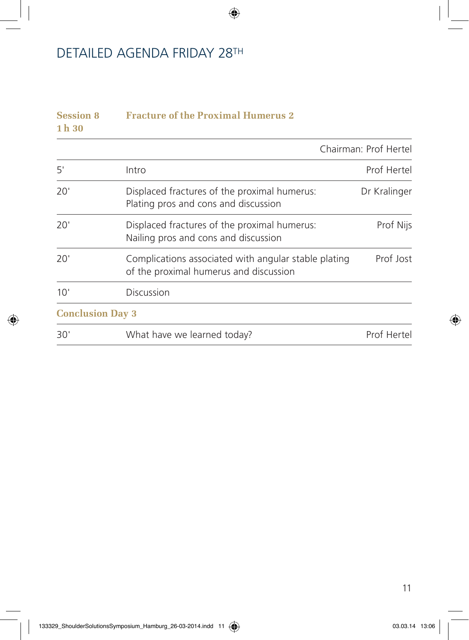# DETAILED AGENDA FRIDAY 28TH

| <b>Session 8</b><br>$1h$ 30 |                                                                                                |                       |
|-----------------------------|------------------------------------------------------------------------------------------------|-----------------------|
|                             |                                                                                                | Chairman: Prof Hertel |
| 5'                          | Intro                                                                                          | Prof Hertel           |
| 20'                         | Displaced fractures of the proximal humerus:<br>Plating pros and cons and discussion           | Dr Kralinger          |
| 20'                         | Displaced fractures of the proximal humerus:<br>Nailing pros and cons and discussion           | Prof Nijs             |
| 20'                         | Complications associated with angular stable plating<br>of the proximal humerus and discussion | Prof Jost             |
| 10'                         | Discussion                                                                                     |                       |
| <b>Conclusion Day 3</b>     |                                                                                                |                       |
| 30'                         | What have we learned today?                                                                    | Prof Hertel           |

 $\bigoplus$ 

◈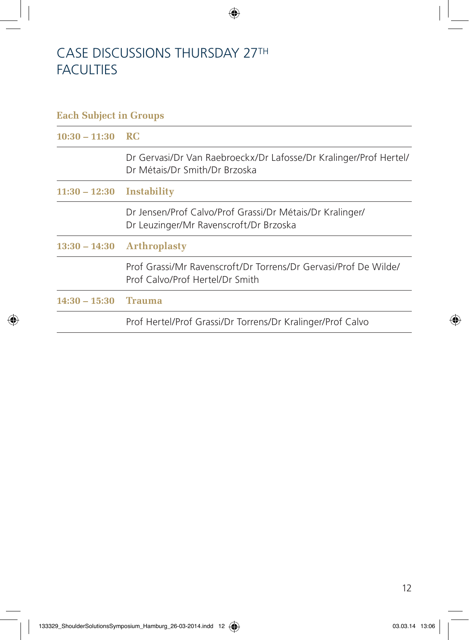### CASE DISCUSSIONS THURSDAY 27TH **FACULTIES**

# **Each Subject in Groups 10:30 – 11:30 RC** Dr Gervasi/Dr Van Raebroeckx/Dr Lafosse/Dr Kralinger/Prof Hertel/ Dr Métais/Dr Smith/Dr Brzoska **11:30 – 12:30 Instability** Dr Jensen/Prof Calvo/Prof Grassi/Dr Métais/Dr Kralinger/ Dr Leuzinger/Mr Ravenscroft/Dr Brzoska **13:30 – 14:30 Arthroplasty** Prof Grassi/Mr Ravenscroft/Dr Torrens/Dr Gervasi/Prof De Wilde/ Prof Calvo/Prof Hertel/Dr Smith **14:30 – 15:30 Trauma** Prof Hertel/Prof Grassi/Dr Torrens/Dr Kralinger/Prof Calvo

⊕